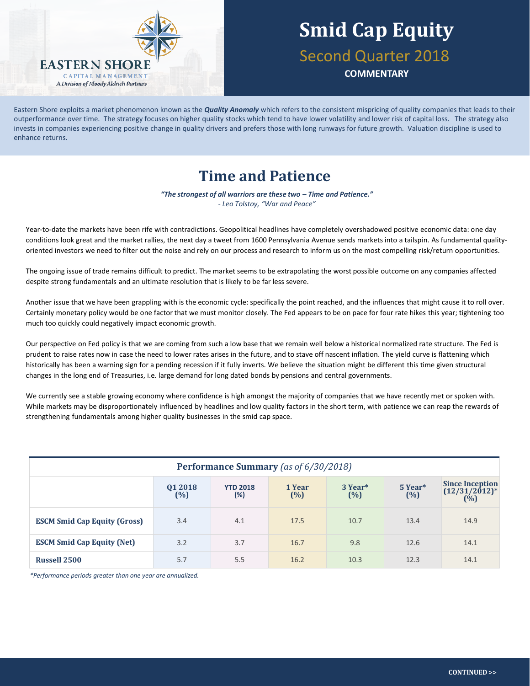

# **Smid Cap Equity** Second Quarter 2018

**COMMENTARY**

Eastern Shore exploits a market phenomenon known as the *Quality Anomaly* which refers to the consistent mispricing of quality companies that leads to their outperformance over time. The strategy focuses on higher quality stocks which tend to have lower volatility and lower risk of capital loss. The strategy also invests in companies experiencing positive change in quality drivers and prefers those with long runways for future growth. Valuation discipline is used to enhance returns.

### **Time and Patience**

*"The strongest of all warriors are these two – Time and Patience." - Leo Tolstoy, "War and Peace"*

Year-to-date the markets have been rife with contradictions. Geopolitical headlines have completely overshadowed positive economic data: one day conditions look great and the market rallies, the next day a tweet from 1600 Pennsylvania Avenue sends markets into a tailspin. As fundamental qualityoriented investors we need to filter out the noise and rely on our process and research to inform us on the most compelling risk/return opportunities.

The ongoing issue of trade remains difficult to predict. The market seems to be extrapolating the worst possible outcome on any companies affected despite strong fundamentals and an ultimate resolution that is likely to be far less severe.

Another issue that we have been grappling with is the economic cycle: specifically the point reached, and the influences that might cause it to roll over. Certainly monetary policy would be one factor that we must monitor closely. The Fed appears to be on pace for four rate hikes this year; tightening too much too quickly could negatively impact economic growth.

Our perspective on Fed policy is that we are coming from such a low base that we remain well below a historical normalized rate structure. The Fed is prudent to raise rates now in case the need to lower rates arises in the future, and to stave off nascent inflation. The yield curve is flattening which historically has been a warning sign for a pending recession if it fully inverts. We believe the situation might be different this time given structural changes in the long end of Treasuries, i.e. large demand for long dated bonds by pensions and central governments.

We currently see a stable growing economy where confidence is high amongst the majority of companies that we have recently met or spoken with. While markets may be disproportionately influenced by headlines and low quality factors in the short term, with patience we can reap the rewards of strengthening fundamentals among higher quality businesses in the smid cap space.

| Performance Summary (as of 6/30/2018) |                   |                        |                  |                               |                |                                                                            |  |  |
|---------------------------------------|-------------------|------------------------|------------------|-------------------------------|----------------|----------------------------------------------------------------------------|--|--|
|                                       | 01 2018<br>$(\%)$ | <b>YTD 2018</b><br>(%) | 1 Year<br>$(\%)$ | 3 Year <sup>*</sup><br>$(\%)$ | 5 Year*<br>(%) | <b>Since Inception</b><br>$(12/31/2012)^*$<br>$(^{\dot{0}}\!\!\!/\!\!\!o)$ |  |  |
| <b>ESCM Smid Cap Equity (Gross)</b>   | 3.4               | 4.1                    | 17.5             | 10.7                          | 13.4           | 14.9                                                                       |  |  |
| <b>ESCM Smid Cap Equity (Net)</b>     | 3.2               | 3.7                    | 16.7             | 9.8                           | 12.6           | 14.1                                                                       |  |  |
| <b>Russell 2500</b>                   | 5.7               | 5.5                    | 16.2             | 10.3                          | 12.3           | 14.1                                                                       |  |  |

*\*Performance periods greater than one year are annualized.*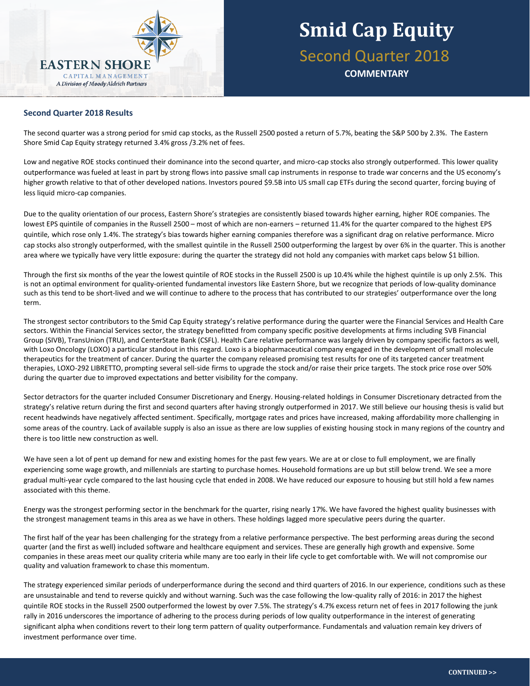

#### **Second Quarter 2018 Results**

The second quarter was a strong period for smid cap stocks, as the Russell 2500 posted a return of 5.7%, beating the S&P 500 by 2.3%. The Eastern Shore Smid Cap Equity strategy returned 3.4% gross /3.2% net of fees.

Low and negative ROE stocks continued their dominance into the second quarter, and micro-cap stocks also strongly outperformed. This lower quality outperformance was fueled at least in part by strong flows into passive small cap instruments in response to trade war concerns and the US economy's higher growth relative to that of other developed nations. Investors poured \$9.5B into US small cap ETFs during the second quarter, forcing buying of less liquid micro-cap companies.

Due to the quality orientation of our process, Eastern Shore's strategies are consistently biased towards higher earning, higher ROE companies. The lowest EPS quintile of companies in the Russell 2500 – most of which are non-earners – returned 11.4% for the quarter compared to the highest EPS quintile, which rose only 1.4%. The strategy's bias towards higher earning companies therefore was a significant drag on relative performance. Micro cap stocks also strongly outperformed, with the smallest quintile in the Russell 2500 outperforming the largest by over 6% in the quarter. This is another area where we typically have very little exposure: during the quarter the strategy did not hold any companies with market caps below \$1 billion.

Through the first six months of the year the lowest quintile of ROE stocks in the Russell 2500 is up 10.4% while the highest quintile is up only 2.5%. This is not an optimal environment for quality-oriented fundamental investors like Eastern Shore, but we recognize that periods of low-quality dominance such as this tend to be short-lived and we will continue to adhere to the process that has contributed to our strategies' outperformance over the long term.

The strongest sector contributors to the Smid Cap Equity strategy's relative performance during the quarter were the Financial Services and Health Care sectors. Within the Financial Services sector, the strategy benefitted from company specific positive developments at firms including SVB Financial Group (SIVB), TransUnion (TRU), and CenterState Bank (CSFL). Health Care relative performance was largely driven by company specific factors as well, with Loxo Oncology (LOXO) a particular standout in this regard. Loxo is a biopharmaceutical company engaged in the development of small molecule therapeutics for the treatment of cancer. During the quarter the company released promising test results for one of its targeted cancer treatment therapies, LOXO-292 LIBRETTO, prompting several sell-side firms to upgrade the stock and/or raise their price targets. The stock price rose over 50% during the quarter due to improved expectations and better visibility for the company.

Sector detractors for the quarter included Consumer Discretionary and Energy. Housing-related holdings in Consumer Discretionary detracted from the strategy's relative return during the first and second quarters after having strongly outperformed in 2017. We still believe our housing thesis is valid but recent headwinds have negatively affected sentiment. Specifically, mortgage rates and prices have increased, making affordability more challenging in some areas of the country. Lack of available supply is also an issue as there are low supplies of existing housing stock in many regions of the country and there is too little new construction as well.

We have seen a lot of pent up demand for new and existing homes for the past few years. We are at or close to full employment, we are finally experiencing some wage growth, and millennials are starting to purchase homes. Household formations are up but still below trend. We see a more gradual multi-year cycle compared to the last housing cycle that ended in 2008. We have reduced our exposure to housing but still hold a few names associated with this theme.

Energy was the strongest performing sector in the benchmark for the quarter, rising nearly 17%. We have favored the highest quality businesses with the strongest management teams in this area as we have in others. These holdings lagged more speculative peers during the quarter.

The first half of the year has been challenging for the strategy from a relative performance perspective. The best performing areas during the second quarter (and the first as well) included software and healthcare equipment and services. These are generally high growth and expensive. Some companies in these areas meet our quality criteria while many are too early in their life cycle to get comfortable with. We will not compromise our quality and valuation framework to chase this momentum.

The strategy experienced similar periods of underperformance during the second and third quarters of 2016. In our experience, conditions such as these are unsustainable and tend to reverse quickly and without warning. Such was the case following the low-quality rally of 2016: in 2017 the highest quintile ROE stocks in the Russell 2500 outperformed the lowest by over 7.5%. The strategy's 4.7% excess return net of fees in 2017 following the junk rally in 2016 underscores the importance of adhering to the process during periods of low quality outperformance in the interest of generating significant alpha when conditions revert to their long term pattern of quality outperformance. Fundamentals and valuation remain key drivers of investment performance over time.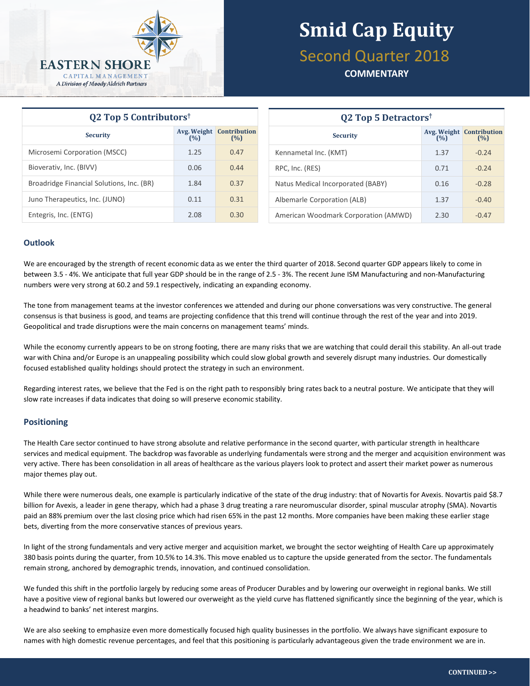

# **Smid Cap Equity** Second Quarter 2018

### **COMMENTARY**

| $Q2$ Top 5 Contributors <sup>†</sup>      |                    |                            |  |  |  |  |
|-------------------------------------------|--------------------|----------------------------|--|--|--|--|
| <b>Security</b>                           | Avg. Weight<br>(%) | <b>Contribution</b><br>(%) |  |  |  |  |
| Microsemi Corporation (MSCC)              | 1.25               | 0.47                       |  |  |  |  |
| Bioverativ, Inc. (BIVV)                   | 0.06               | 0.44                       |  |  |  |  |
| Broadridge Financial Solutions, Inc. (BR) | 1.84               | 0.37                       |  |  |  |  |
| Juno Therapeutics, Inc. (JUNO)            | 0.11               | 0.31                       |  |  |  |  |
| Entegris, Inc. (ENTG)                     | 2.08               | 0.30                       |  |  |  |  |

| <b>Q2 Top 5 Detractors</b> <sup>†</sup> |      |                                        |  |  |  |  |
|-----------------------------------------|------|----------------------------------------|--|--|--|--|
| <b>Security</b>                         | (%)  | <b>Avg. Weight Contribution</b><br>(%) |  |  |  |  |
| Kennametal Inc. (KMT)                   | 1.37 | $-0.24$                                |  |  |  |  |
| RPC, Inc. (RES)                         | 0.71 | $-0.24$                                |  |  |  |  |
| Natus Medical Incorporated (BABY)       | 0.16 | $-0.28$                                |  |  |  |  |
| Albemarle Corporation (ALB)             | 1.37 | $-0.40$                                |  |  |  |  |
| American Woodmark Corporation (AMWD)    | 2.30 | $-0.47$                                |  |  |  |  |

#### **Outlook**

We are encouraged by the strength of recent economic data as we enter the third quarter of 2018. Second quarter GDP appears likely to come in between 3.5 - 4%. We anticipate that full year GDP should be in the range of 2.5 - 3%. The recent June ISM Manufacturing and non-Manufacturing numbers were very strong at 60.2 and 59.1 respectively, indicating an expanding economy.

The tone from management teams at the investor conferences we attended and during our phone conversations was very constructive. The general consensus is that business is good, and teams are projecting confidence that this trend will continue through the rest of the year and into 2019. Geopolitical and trade disruptions were the main concerns on management teams' minds.

While the economy currently appears to be on strong footing, there are many risks that we are watching that could derail this stability. An all-out trade war with China and/or Europe is an unappealing possibility which could slow global growth and severely disrupt many industries. Our domestically focused established quality holdings should protect the strategy in such an environment.

Regarding interest rates, we believe that the Fed is on the right path to responsibly bring rates back to a neutral posture. We anticipate that they will slow rate increases if data indicates that doing so will preserve economic stability.

#### **Positioning**

The Health Care sector continued to have strong absolute and relative performance in the second quarter, with particular strength in healthcare services and medical equipment. The backdrop was favorable as underlying fundamentals were strong and the merger and acquisition environment was very active. There has been consolidation in all areas of healthcare as the various players look to protect and assert their market power as numerous major themes play out.

While there were numerous deals, one example is particularly indicative of the state of the drug industry: that of Novartis for Avexis. Novartis paid \$8.7 billion for Avexis, a leader in gene therapy, which had a phase 3 drug treating a rare neuromuscular disorder, spinal muscular atrophy (SMA). Novartis paid an 88% premium over the last closing price which had risen 65% in the past 12 months. More companies have been making these earlier stage bets, diverting from the more conservative stances of previous years.

In light of the strong fundamentals and very active merger and acquisition market, we brought the sector weighting of Health Care up approximately 380 basis points during the quarter, from 10.5% to 14.3%. This move enabled us to capture the upside generated from the sector. The fundamentals remain strong, anchored by demographic trends, innovation, and continued consolidation.

We funded this shift in the portfolio largely by reducing some areas of Producer Durables and by lowering our overweight in regional banks. We still have a positive view of regional banks but lowered our overweight as the yield curve has flattened significantly since the beginning of the year, which is a headwind to banks' net interest margins.

We are also seeking to emphasize even more domestically focused high quality businesses in the portfolio. We always have significant exposure to names with high domestic revenue percentages, and feel that this positioning is particularly advantageous given the trade environment we are in.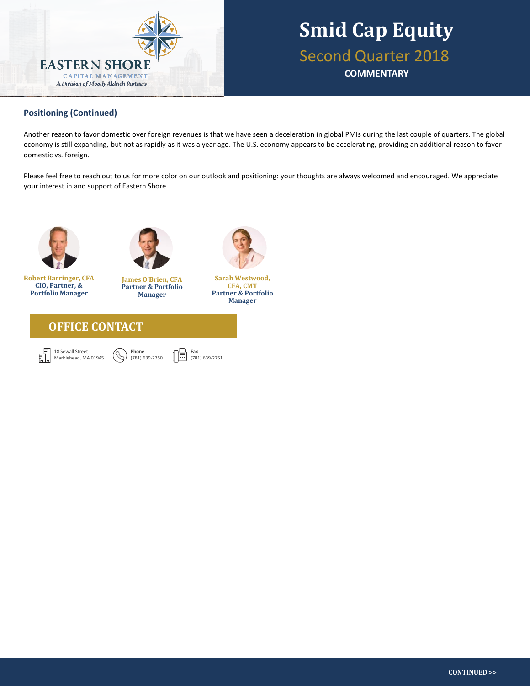

## **Smid Cap Equity** Second Quarter 2018 **COMMENTARY**

#### **Positioning (Continued) Eastern Shore The Shore Shore Shore Shore Shore Shore Shore Shore Shore Shore Shore Shore Shore Shore Shore Shore Shore Shore Shore Shore Shore Shore Shore Shore Shore Shore Shore Shore Shore Sho stocks**, adjusting the balance between the two based on opportunity set and market environment. The team's **stock selection technique** is based on the

Another reason to favor domestic over foreign revenues is that we have seen a deceleration in global PMIs during the last couple of quarters. The global economy is still expanding, but not as rapidly as it was a year ago. The U.S. economy appears to be accelerating, providing an additional reason to favor domestic vs. foreign.

Please feel free to reach out to us for more color on our outlook and positioning: your thoughts are always welcomed and encouraged. We appreciate your interest in and support of Eastern Shore.



**CIO, Partner, & Portfolio Manager**



**Robert Barringer, CFA James O'Brien, CFA Partner & Portfolio Manager**



僴

**Sarah Westwood, CFA, CMT Partner & Portfolio Manager**





**Phone** (781) 639-2750

**Fax** (781) 639-2751